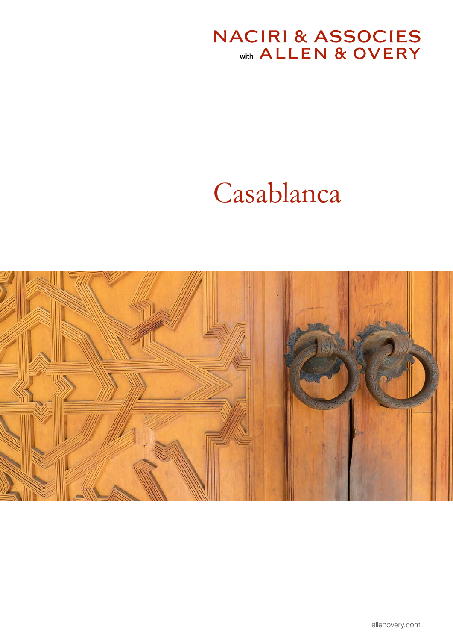# **NACIRI & ASSOCIES**<br>With ALLEN & OVERY

# Casablanca

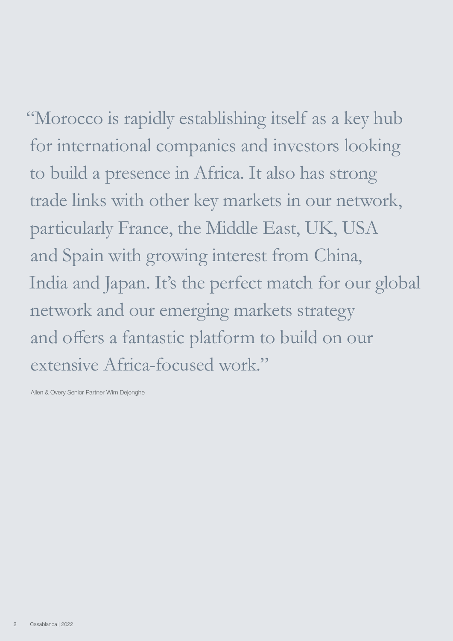"Morocco is rapidly establishing itself as a key hub for international companies and investors looking to build a presence in Africa. It also has strong trade links with other key markets in our network, particularly France, the Middle East, UK, USA and Spain with growing interest from China, India and Japan. It's the perfect match for our global network and our emerging markets strategy and offers a fantastic platform to build on our

extensive Africa-focused work."

Allen & Overy Senior Partner Wim Dejonghe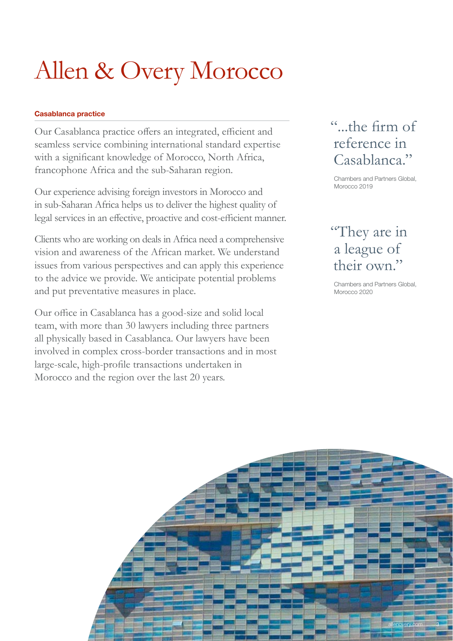# Allen & Overy Morocco

#### Casablanca practice

Our Casablanca practice offers an integrated, efficient and seamless service combining international standard expertise with a significant knowledge of Morocco, North Africa, francophone Africa and the sub-Saharan region.

Our experience advising foreign investors in Morocco and in sub-Saharan Africa helps us to deliver the highest quality of legal services in an effective, proactive and cost-efficient manner.

Clients who are working on deals in Africa need a comprehensive vision and awareness of the African market. We understand issues from various perspectives and can apply this experience to the advice we provide. We anticipate potential problems and put preventative measures in place.

Our office in Casablanca has a good-size and solid local team, with more than 30 lawyers including three partners all physically based in Casablanca. Our lawyers have been involved in complex cross-border transactions and in most large-scale, high-profile transactions undertaken in Morocco and the region over the last 20 years.

### "...the firm of reference in Casablanca."

Chambers and Partners Global, Morocco 2019

### "They are in a league of their own."

Chambers and Partners Global, Morocco 2020

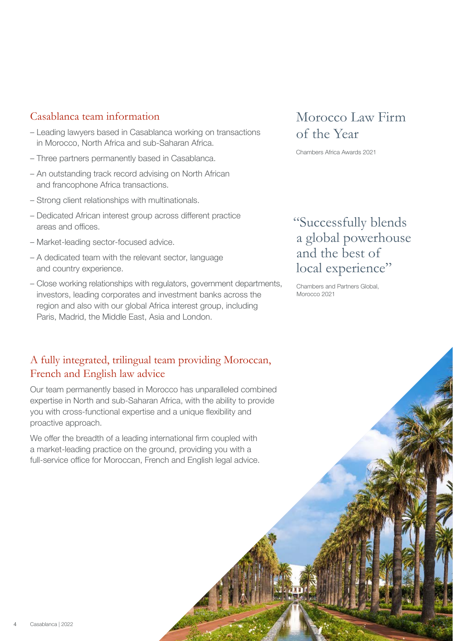#### Casablanca team information

- Leading lawyers based in Casablanca working on transactions in Morocco, North Africa and sub-Saharan Africa.
- Three partners permanently based in Casablanca.
- An outstanding track record advising on North African and francophone Africa transactions.
- Strong client relationships with multinationals.
- Dedicated African interest group across different practice areas and offices.
- Market-leading sector-focused advice.
- A dedicated team with the relevant sector, language and country experience.
- Close working relationships with regulators, government departments, investors, leading corporates and investment banks across the region and also with our global Africa interest group, including Paris, Madrid, the Middle East, Asia and London.

### A fully integrated, trilingual team providing Moroccan, French and English law advice

Our team permanently based in Morocco has unparalleled combined expertise in North and sub-Saharan Africa, with the ability to provide you with cross-functional expertise and a unique flexibility and proactive approach.

We offer the breadth of a leading international firm coupled with a market-leading practice on the ground, providing you with a full-service office for Moroccan, French and English legal advice.

### Morocco Law Firm of the Year

Chambers Africa Awards 2021

### "Successfully blends a global powerhouse and the best of local experience"

Chambers and Partners Global, Morocco 2021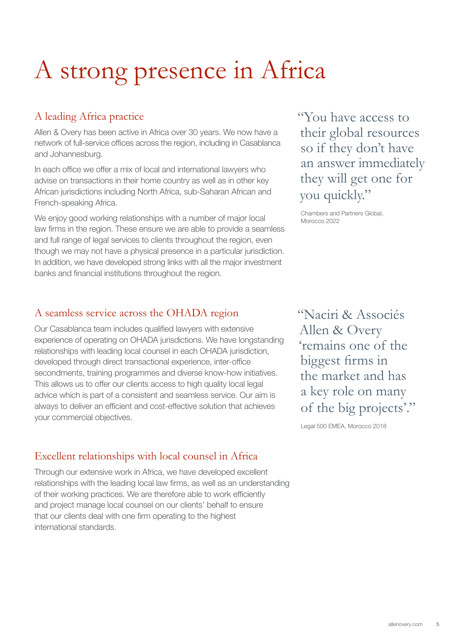# A strong presence in Africa

#### A leading Africa practice

Allen & Overy has been active in Africa over 30 years. We now have a network of full-service offices across the region, including in Casablanca and Johannesburg.

In each office we offer a mix of local and international lawyers who advise on transactions in their home country as well as in other key African jurisdictions including North Africa, sub-Saharan African and French-speaking Africa.

We enjoy good working relationships with a number of major local law firms in the region. These ensure we are able to provide a seamless and full range of legal services to clients throughout the region, even though we may not have a physical presence in a particular jurisdiction. In addition, we have developed strong links with all the major investment banks and financial institutions throughout the region.

#### A seamless service across the OHADA region

Our Casablanca team includes qualified lawyers with extensive experience of operating on OHADA jurisdictions. We have longstanding relationships with leading local counsel in each OHADA jurisdiction, developed through direct transactional experience, inter-office secondments, training programmes and diverse know-how initiatives. This allows us to offer our clients access to high quality local legal advice which is part of a consistent and seamless service. Our aim is always to deliver an efficient and cost-effective solution that achieves your commercial objectives.

#### Excellent relationships with local counsel in Africa

Through our extensive work in Africa, we have developed excellent relationships with the leading local law firms, as well as an understanding of their working practices. We are therefore able to work efficiently and project manage local counsel on our clients' behalf to ensure that our clients deal with one firm operating to the highest international standards.

"You have access to their global resources so if they don't have an answer immediately they will get one for you quickly."

Chambers and Partners Global, Morocco 2022

"Naciri & Associés Allen & Overy 'remains one of the biggest firms in the market and has a key role on many of the big projects'."

Legal 500 EMEA, Morocco 2018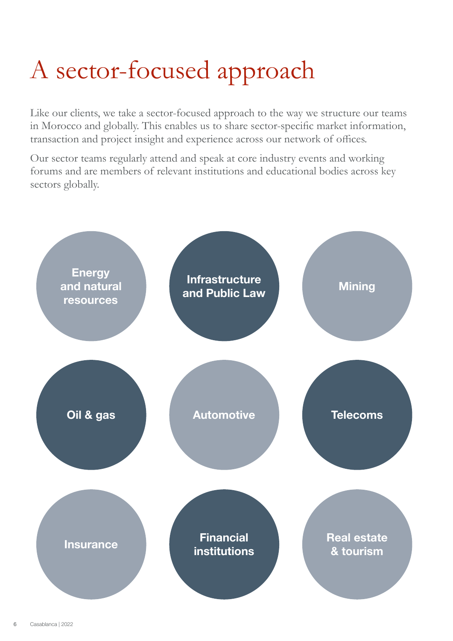# A sector-focused approach

Like our clients, we take a sector-focused approach to the way we structure our teams in Morocco and globally. This enables us to share sector-specific market information, transaction and project insight and experience across our network of offices.

Our sector teams regularly attend and speak at core industry events and working forums and are members of relevant institutions and educational bodies across key sectors globally.

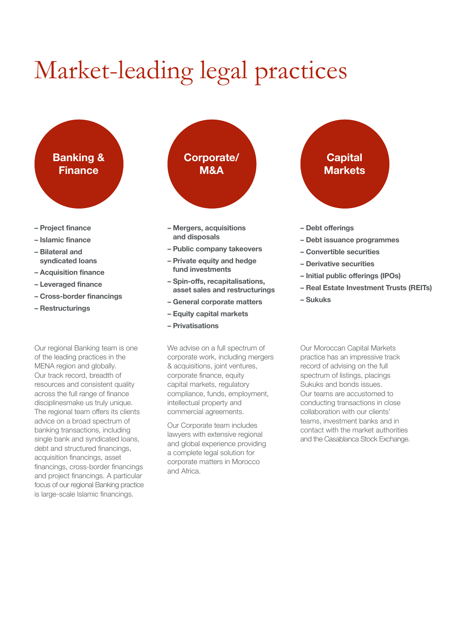# Market-leading legal practices



- Project finance
- Islamic finance
- Bilateral and syndicated loans
- Acquisition finance
- Leveraged finance
- Cross-border financings
- Restructurings

Our regional Banking team is one of the leading practices in the MENA region and globally. Our track record, breadth of resources and consistent quality across the full range of finance disciplinesmake us truly unique. The regional team offers its clients advice on a broad spectrum of banking transactions, including single bank and syndicated loans, debt and structured financings, acquisition financings, asset financings, cross-border financings and project financings. A particular focus of our regional Banking practice is large-scale Islamic financings.



- Mergers, acquisitions and disposals
- Public company takeovers
- Private equity and hedge fund investments
- Spin-offs, recapitalisations, asset sales and restructurings
- General corporate matters
- Equity capital markets
- Privatisations

We advise on a full spectrum of corporate work, including mergers & acquisitions, joint ventures, corporate finance, equity capital markets, regulatory compliance, funds, employment, intellectual property and commercial agreements.

Our Corporate team includes lawyers with extensive regional and global experience providing a complete legal solution for corporate matters in Morocco and Africa.



- 
- Debt issuance programmes
- Convertible securities
- Derivative securities
- Initial public offerings (IPOs)
- Real Estate Investment Trusts (REITs)
- Sukuks

Our Moroccan Capital Markets practice has an impressive track record of advising on the full spectrum of listings, placings Sukuks and bonds issues. Our teams are accustomed to conducting transactions in close collaboration with our clients' teams, investment banks and in contact with the market authorities and the Casablanca Stock Exchange.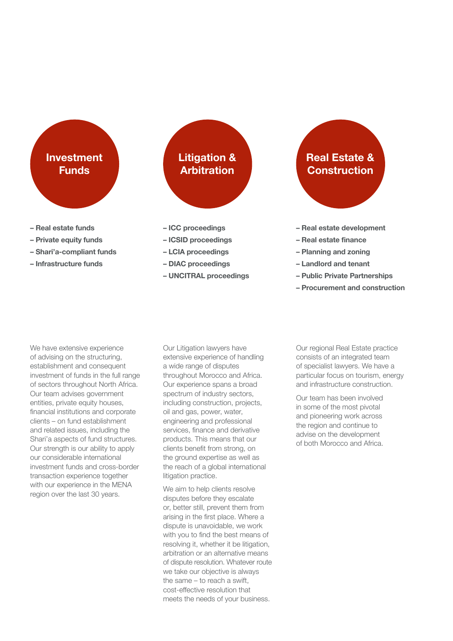## Investment Funds

- Real estate funds
- Private equity funds
- Shari'a-compliant funds
- Infrastructure funds

# Litigation & Arbitration

- ICC proceedings
- ICSID proceedings
- LCIA proceedings
- DIAC proceedings
- UNCITRAL proceedings

# Real Estate & **Construction**

- Real estate development
- Real estate finance
- Planning and zoning
- Landlord and tenant
- Public Private Partnerships
- Procurement and construction

We have extensive experience of advising on the structuring, establishment and consequent investment of funds in the full range of sectors throughout North Africa. Our team advises government entities, private equity houses, financial institutions and corporate clients – on fund establishment and related issues, including the Shari'a aspects of fund structures. Our strength is our ability to apply our considerable international investment funds and cross-border transaction experience together with our experience in the MENA region over the last 30 years.

Our Litigation lawyers have extensive experience of handling a wide range of disputes throughout Morocco and Africa. Our experience spans a broad spectrum of industry sectors, including construction, projects, oil and gas, power, water, engineering and professional services, finance and derivative products. This means that our clients benefit from strong, on the ground expertise as well as the reach of a global international litigation practice.

We aim to help clients resolve disputes before they escalate or, better still, prevent them from arising in the first place. Where a dispute is unavoidable, we work with you to find the best means of resolving it, whether it be litigation, arbitration or an alternative means of dispute resolution. Whatever route we take our objective is always the same – to reach a swift, cost-effective resolution that meets the needs of your business.

Our regional Real Estate practice consists of an integrated team of specialist lawyers. We have a particular focus on tourism, energy and infrastructure construction.

Our team has been involved in some of the most pivotal and pioneering work across the region and continue to advise on the development of both Morocco and Africa.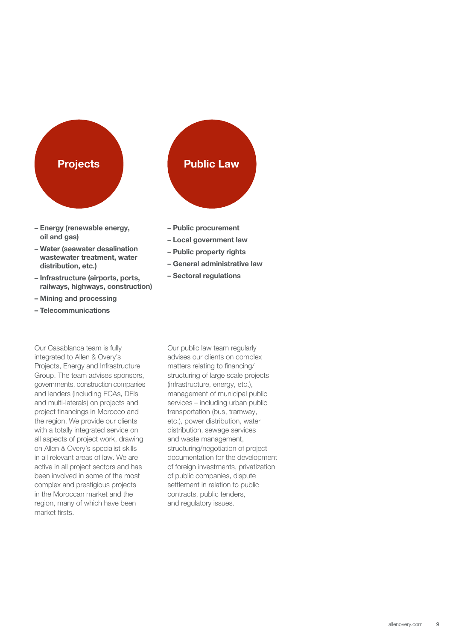

- Energy (renewable energy, oil and gas)
- Water (seawater desalination wastewater treatment, water distribution, etc.)
- Infrastructure (airports, ports, railways, highways, construction)
- Mining and processing
- Telecommunications

Our Casablanca team is fully integrated to Allen & Overy's Projects, Energy and Infrastructure Group. The team advises sponsors, governments, construction companies and lenders (including ECAs, DFIs and multi-laterals) on projects and project financings in Morocco and the region. We provide our clients with a totally integrated service on all aspects of project work, drawing on Allen & Overy's specialist skills in all relevant areas of law. We are active in all project sectors and has been involved in some of the most complex and prestigious projects in the Moroccan market and the region, many of which have been market firsts.

- Public procurement
- Local government law
- Public property rights
- General administrative law
- Sectoral regulations

Our public law team regularly advises our clients on complex matters relating to financing/ structuring of large scale projects (infrastructure, energy, etc.), management of municipal public services – including urban public transportation (bus, tramway, etc.), power distribution, water distribution, sewage services and waste management, structuring/negotiation of project documentation for the development of foreign investments, privatization of public companies, dispute settlement in relation to public contracts, public tenders, and regulatory issues.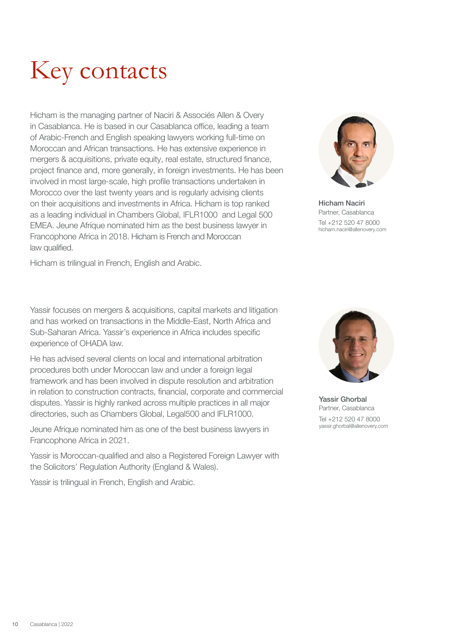

Hicham is the managing partner of Naciri & Associés Allen & Overy in Casablanca. He is based in our Casablanca office, leading a team of Arabic-French and English speaking lawyers working full-time on Moroccan and African transactions. He has extensive experience in mergers & acquisitions, private equity, real estate, structured finance, project finance and, more generally, in foreign investments. He has been involved in most large-scale, high profile transactions undertaken in Morocco over the last twenty years and is regularly advising clients on their acquisitions and investments in Africa. Hicham is top ranked as a leading individual in Chambers Global, IFLR1000 and Legal 500 EMEA. Jeune Afrique nominated him as the best business lawyer in Francophone Africa in 2018. Hicham is French and Moroccan law qualified.

Hicham is trilingual in French, English and Arabic.

Yassir focuses on mergers & acquisitions, capital markets and litigation and has worked on transactions in the Middle-East, North Africa and Sub-Saharan Africa. Yassir's experience in Africa includes specific experience of OHADA law.

He has advised several clients on local and international arbitration procedures both under Moroccan law and under a foreign legal framework and has been involved in dispute resolution and arbitration in relation to construction contracts, financial, corporate and commercial disputes. Yassir is highly ranked across multiple practices in all major directories, such as Chambers Global, Legal500 and IFLR1000.

Jeune Afrique nominated him as one of the best business lawyers in Francophone Africa in 2021.

Yassir is Moroccan-qualified and also a Registered Foreign Lawyer with the Solicitors' Regulation Authority (England & Wales).

Yassir is trilingual in French, English and Arabic.



Hicham Naciri Partner, Casablanca Tel +212 520 47 8000 hicham.naciri@allenovery.com

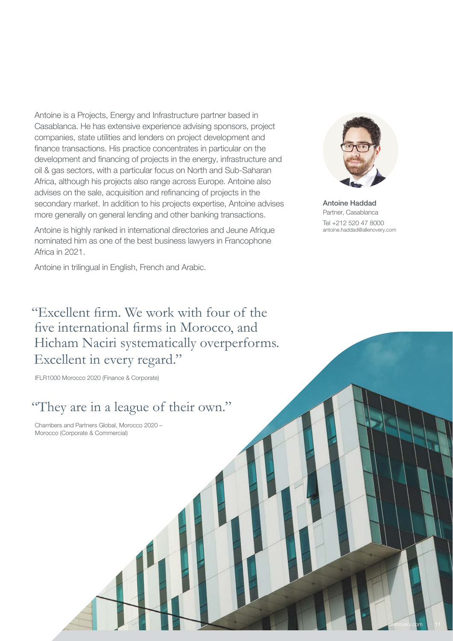Antoine is a Projects, Energy and Infrastructure partner based in Casablanca. He has extensive experience advising sponsors, project companies, state utilities and lenders on project development and finance transactions. His practice concentrates in particular on the development and financing of projects in the energy, infrastructure and oil & gas sectors, with a particular focus on North and Sub-Saharan Africa, although his projects also range across Europe. Antoine also advises on the sale, acquisition and refinancing of projects in the secondary market. In addition to his projects expertise, Antoine advises more generally on general lending and other banking transactions.

Antoine is highly ranked in international directories and Jeune Afrique nominated him as one of the best business lawyers in Francophone Africa in 2021.

Antoine in trilingual in English, French and Arabic.



Antoine Haddad Partner, Casablanca Tel +212 520 47 8000 antoine.haddad@allenovery.com

[allenovery.com](http://www.allenovery.com) 11

"Excellent firm. We work with four of the five international firms in Morocco, and Hicham Naciri systematically overperforms. Excellent in every regard."

IFLR1000 Morocco 2020 (Finance & Corporate)

### "They are in a league of their own."

Chambers and Partners Global, Morocco 2020 – Morocco (Corporate & Commercial)